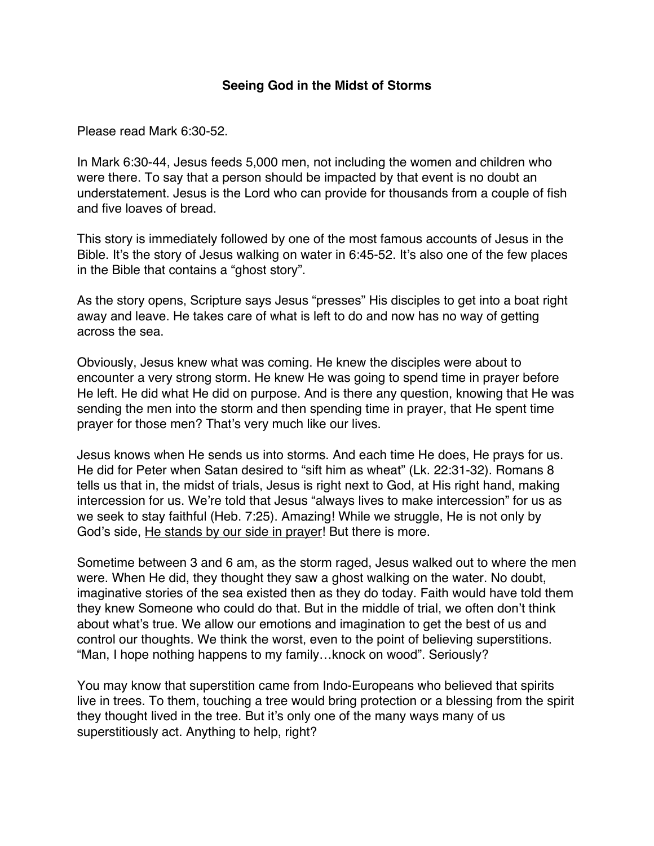## **Seeing God in the Midst of Storms**

Please read Mark 6:30-52.

In Mark 6:30-44, Jesus feeds 5,000 men, not including the women and children who were there. To say that a person should be impacted by that event is no doubt an understatement. Jesus is the Lord who can provide for thousands from a couple of fish and five loaves of bread.

This story is immediately followed by one of the most famous accounts of Jesus in the Bible. It's the story of Jesus walking on water in 6:45-52. It's also one of the few places in the Bible that contains a "ghost story".

As the story opens, Scripture says Jesus "presses" His disciples to get into a boat right away and leave. He takes care of what is left to do and now has no way of getting across the sea.

Obviously, Jesus knew what was coming. He knew the disciples were about to encounter a very strong storm. He knew He was going to spend time in prayer before He left. He did what He did on purpose. And is there any question, knowing that He was sending the men into the storm and then spending time in prayer, that He spent time prayer for those men? That's very much like our lives.

Jesus knows when He sends us into storms. And each time He does, He prays for us. He did for Peter when Satan desired to "sift him as wheat" (Lk. 22:31-32). Romans 8 tells us that in, the midst of trials, Jesus is right next to God, at His right hand, making intercession for us. We're told that Jesus "always lives to make intercession" for us as we seek to stay faithful (Heb. 7:25). Amazing! While we struggle, He is not only by God's side, He stands by our side in prayer! But there is more.

Sometime between 3 and 6 am, as the storm raged, Jesus walked out to where the men were. When He did, they thought they saw a ghost walking on the water. No doubt, imaginative stories of the sea existed then as they do today. Faith would have told them they knew Someone who could do that. But in the middle of trial, we often don't think about what's true. We allow our emotions and imagination to get the best of us and control our thoughts. We think the worst, even to the point of believing superstitions. "Man, I hope nothing happens to my family…knock on wood". Seriously?

You may know that superstition came from Indo-Europeans who believed that spirits live in trees. To them, touching a tree would bring protection or a blessing from the spirit they thought lived in the tree. But it's only one of the many ways many of us superstitiously act. Anything to help, right?